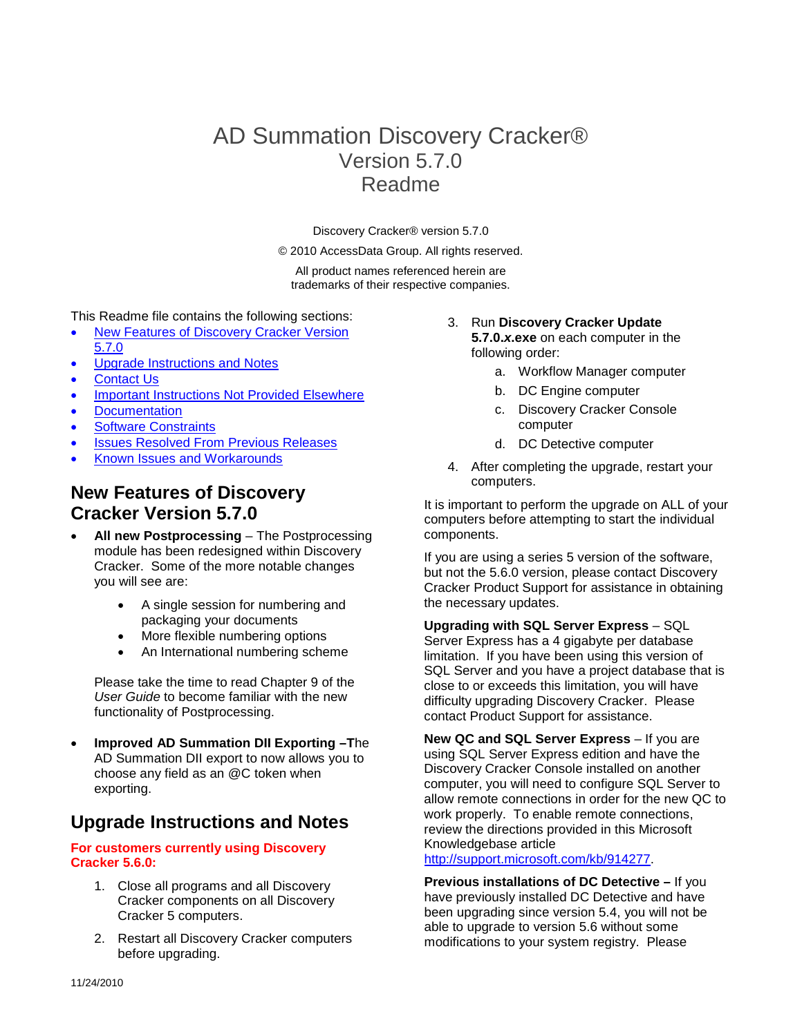# AD Summation Discovery Cracker® Version 5.7.0 Readme

Discovery Cracker® version 5.7.0

© 2010 AccessData Group. All rights reserved.

All product names referenced herein are trademarks of their respective companies.

This Readme file contains the following sections:

- [New Features of Discovery Cracker Version](#page-0-0)  [5.7](#page-0-0).0
- [Upgrade Instructions and Notes](#page-0-1)
- [Contact Us](#page-1-0)
- [Important Instructions Not Provided Elsewhere](#page-1-1)
- **[Documentation](#page-1-2)**
- [Software Constraints](#page-1-3)
- [Issues Resolved From Previous Releases](#page-3-0)
- <span id="page-0-0"></span>• Known Issues and Workarounds

### **New Features of Discovery Cracker Version 5.7.0**

- <span id="page-0-1"></span>• **All new Postprocessing** – The Postprocessing module has been redesigned within Discovery Cracker. Some of the more notable changes you will see are:
	- A single session for numbering and packaging your documents
	- More flexible numbering options
	- An International numbering scheme

Please take the time to read Chapter 9 of the *User Guide* to become familiar with the new functionality of Postprocessing.

• **Improved AD Summation DII Exporting –T**he AD Summation DII export to now allows you to choose any field as an @C token when exporting.

### **Upgrade Instructions and Notes**

#### **For customers currently using Discovery Cracker 5.6.0:**

- 1. Close all programs and all Discovery Cracker components on all Discovery Cracker 5 computers.
- 2. Restart all Discovery Cracker computers before upgrading.

### 3. Run **Discovery Cracker Update 5.7.0.***x***.exe** on each computer in the

following order:

- a. Workflow Manager computer
- b. DC Engine computer
- c. Discovery Cracker Console computer
- d. DC Detective computer
- 4. After completing the upgrade, restart your computers.

It is important to perform the upgrade on ALL of your computers before attempting to start the individual components.

If you are using a series 5 version of the software, but not the 5.6.0 version, please contact Discovery Cracker Product Support for assistance in obtaining the necessary updates.

**Upgrading with SQL Server Express** – SQL Server Express has a 4 gigabyte per database limitation. If you have been using this version of SQL Server and you have a project database that is close to or exceeds this limitation, you will have difficulty upgrading Discovery Cracker. Please contact Product Support for assistance.

**New QC and SQL Server Express** – If you are using SQL Server Express edition and have the Discovery Cracker Console installed on another computer, you will need to configure SQL Server to allow remote connections in order for the new QC to work properly. To enable remote connections, review the directions provided in this Microsoft Knowledgebase article

#### [http://support.microsoft.com/kb/914277.](http://support.microsoft.com/kb/914277)

**Previous installations of DC Detective –** If you have previously installed DC Detective and have been upgrading since version 5.4, you will not be able to upgrade to version 5.6 without some modifications to your system registry. Please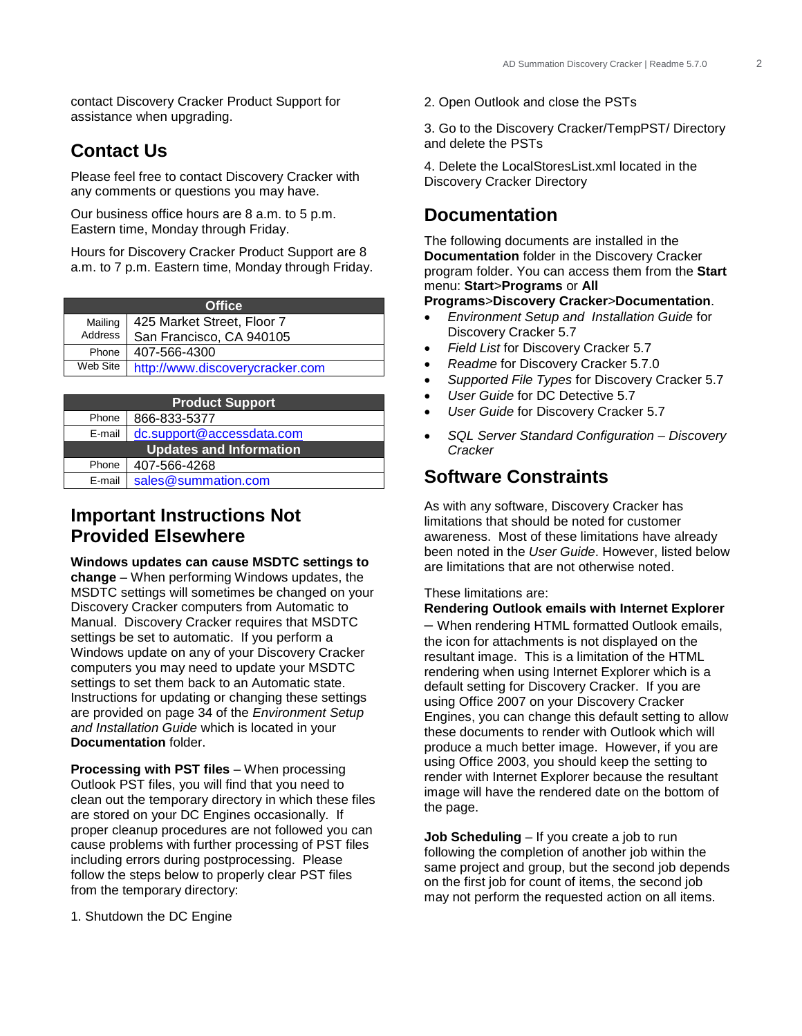contact Discovery Cracker Product Support for assistance when upgrading.

## <span id="page-1-0"></span>**Contact Us**

Please feel free to contact Discovery Cracker with any comments or questions you may have.

Our business office hours are 8 a.m. to 5 p.m. Eastern time, Monday through Friday.

Hours for Discovery Cracker Product Support are 8 a.m. to 7 p.m. Eastern time, Monday through Friday.

| <b>Office</b> |                                 |  |
|---------------|---------------------------------|--|
| Mailing       | 425 Market Street, Floor 7      |  |
| Address       | San Francisco, CA 940105        |  |
| Phone         | 407-566-4300                    |  |
| Web Site      | http://www.discoverycracker.com |  |

| <b>Product Support</b> |                                |  |  |
|------------------------|--------------------------------|--|--|
| Phone                  | 866-833-5377                   |  |  |
| E-mail                 | dc.support@accessdata.com      |  |  |
|                        | <b>Updates and Information</b> |  |  |
| Phone                  | 407-566-4268                   |  |  |
| E-mail                 | sales@summation.com            |  |  |

### <span id="page-1-1"></span>**Important Instructions Not Provided Elsewhere**

**Windows updates can cause MSDTC settings to change** – When performing Windows updates, the MSDTC settings will sometimes be changed on your Discovery Cracker computers from Automatic to Manual. Discovery Cracker requires that MSDTC settings be set to automatic. If you perform a Windows update on any of your Discovery Cracker computers you may need to update your MSDTC settings to set them back to an Automatic state. Instructions for updating or changing these settings are provided on page 34 of the *Environment Setup and Installation Guide* which is located in your **Documentation** folder.

**Processing with PST files** – When processing Outlook PST files, you will find that you need to clean out the temporary directory in which these files are stored on your DC Engines occasionally. If proper cleanup procedures are not followed you can cause problems with further processing of PST files including errors during postprocessing. Please follow the steps below to properly clear PST files from the temporary directory:

1. Shutdown the DC Engine

2. Open Outlook and close the PSTs

3. Go to the Discovery Cracker/TempPST/ Directory and delete the PSTs

4. Delete the LocalStoresList.xml located in the Discovery Cracker Directory

### <span id="page-1-2"></span>**Documentation**

The following documents are installed in the **Documentation** folder in the Discovery Cracker program folder. You can access them from the **Start** menu: **Start**>**Programs** or **All** 

#### **Programs**>**Discovery Cracker**>**Documentation**.

- *Environment Setup and Installation Guide* for Discovery Cracker 5.7
- *Field List* for Discovery Cracker 5.7
- *Readme* for Discovery Cracker 5.7.0
- *Supported File Types* for Discovery Cracker 5.7
- *User Guide* for DC Detective 5.7
- *User Guide* for Discovery Cracker 5.7
- *SQL Server Standard Configuration – Discovery Cracker*

### <span id="page-1-3"></span>**Software Constraints**

As with any software, Discovery Cracker has limitations that should be noted for customer awareness. Most of these limitations have already been noted in the *User Guide*. However, listed below are limitations that are not otherwise noted.

#### These limitations are:

**Rendering Outlook emails with Internet Explorer**

– When rendering HTML formatted Outlook emails, the icon for attachments is not displayed on the resultant image. This is a limitation of the HTML rendering when using Internet Explorer which is a default setting for Discovery Cracker. If you are using Office 2007 on your Discovery Cracker Engines, you can change this default setting to allow these documents to render with Outlook which will produce a much better image. However, if you are using Office 2003, you should keep the setting to render with Internet Explorer because the resultant image will have the rendered date on the bottom of the page.

**Job Scheduling** – If you create a job to run following the completion of another job within the same project and group, but the second job depends on the first job for count of items, the second job may not perform the requested action on all items.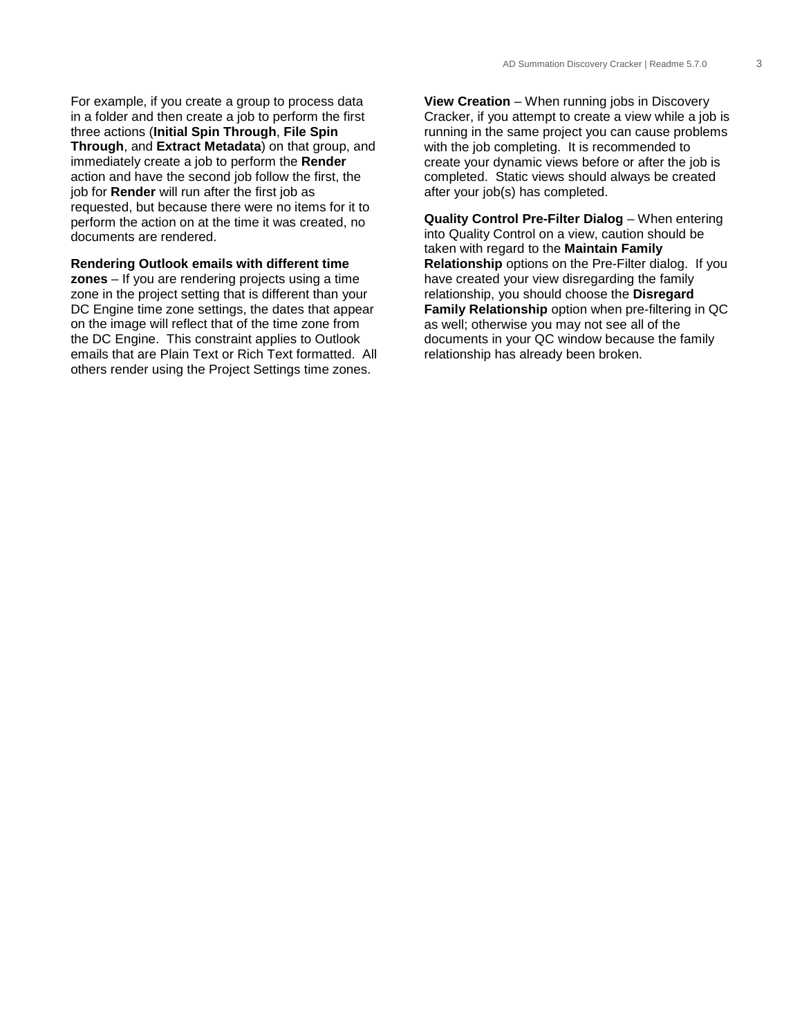For example, if you create a group to process data in a folder and then create a job to perform the first three actions (**Initial Spin Through**, **File Spin Through**, and **Extract Metadata**) on that group, and immediately create a job to perform the **Render** action and have the second job follow the first, the job for **Render** will run after the first job as requested, but because there were no items for it to perform the action on at the time it was created, no documents are rendered.

### **Rendering Outlook emails with different time**

**zones** – If you are rendering projects using a time zone in the project setting that is different than your DC Engine time zone settings, the dates that appear on the image will reflect that of the time zone from the DC Engine. This constraint applies to Outlook emails that are Plain Text or Rich Text formatted. All others render using the Project Settings time zones.

**View Creation** – When running jobs in Discovery Cracker, if you attempt to create a view while a job is running in the same project you can cause problems with the job completing. It is recommended to create your dynamic views before or after the job is completed. Static views should always be created after your job(s) has completed.

**Quality Control Pre-Filter Dialog** – When entering into Quality Control on a view, caution should be taken with regard to the **Maintain Family Relationship** options on the Pre-Filter dialog. If you have created your view disregarding the family relationship, you should choose the **Disregard Family Relationship** option when pre-filtering in QC as well; otherwise you may not see all of the documents in your QC window because the family relationship has already been broken.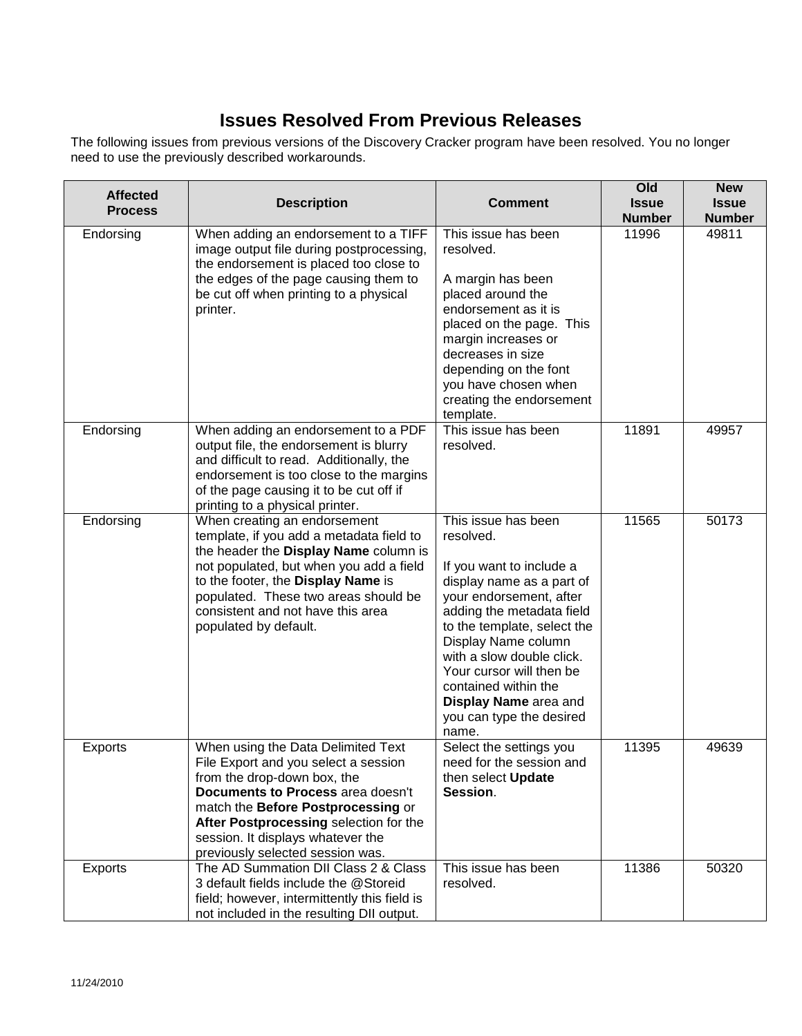# **Issues Resolved From Previous Releases**

<span id="page-3-0"></span>The following issues from previous versions of the Discovery Cracker program have been resolved. You no longer need to use the previously described workarounds.

| <b>Affected</b> | <b>Description</b>                                                                                                                                                                                                                                                                                       | <b>Comment</b>                                                                                                                                                                                                                                                                                                                                         | Old<br><b>Issue</b> | <b>New</b><br><b>Issue</b> |
|-----------------|----------------------------------------------------------------------------------------------------------------------------------------------------------------------------------------------------------------------------------------------------------------------------------------------------------|--------------------------------------------------------------------------------------------------------------------------------------------------------------------------------------------------------------------------------------------------------------------------------------------------------------------------------------------------------|---------------------|----------------------------|
| <b>Process</b>  |                                                                                                                                                                                                                                                                                                          |                                                                                                                                                                                                                                                                                                                                                        | <b>Number</b>       | <b>Number</b>              |
| Endorsing       | When adding an endorsement to a TIFF<br>image output file during postprocessing,<br>the endorsement is placed too close to<br>the edges of the page causing them to<br>be cut off when printing to a physical<br>printer.                                                                                | This issue has been<br>resolved.<br>A margin has been<br>placed around the<br>endorsement as it is<br>placed on the page. This<br>margin increases or<br>decreases in size<br>depending on the font<br>you have chosen when<br>creating the endorsement<br>template.                                                                                   | 11996               | 49811                      |
| Endorsing       | When adding an endorsement to a PDF<br>output file, the endorsement is blurry<br>and difficult to read. Additionally, the<br>endorsement is too close to the margins<br>of the page causing it to be cut off if<br>printing to a physical printer.                                                       | This issue has been<br>resolved.                                                                                                                                                                                                                                                                                                                       | 11891               | 49957                      |
| Endorsing       | When creating an endorsement<br>template, if you add a metadata field to<br>the header the Display Name column is<br>not populated, but when you add a field<br>to the footer, the Display Name is<br>populated. These two areas should be<br>consistent and not have this area<br>populated by default. | This issue has been<br>resolved.<br>If you want to include a<br>display name as a part of<br>your endorsement, after<br>adding the metadata field<br>to the template, select the<br>Display Name column<br>with a slow double click.<br>Your cursor will then be<br>contained within the<br>Display Name area and<br>you can type the desired<br>name. | 11565               | 50173                      |
| <b>Exports</b>  | When using the Data Delimited Text<br>File Export and you select a session<br>from the drop-down box, the<br>Documents to Process area doesn't<br>match the Before Postprocessing or<br>After Postprocessing selection for the<br>session. It displays whatever the<br>previously selected session was.  | Select the settings you<br>need for the session and<br>then select Update<br>Session.                                                                                                                                                                                                                                                                  | 11395               | 49639                      |
| <b>Exports</b>  | The AD Summation DII Class 2 & Class<br>3 default fields include the @Storeid<br>field; however, intermittently this field is<br>not included in the resulting DII output.                                                                                                                               | This issue has been<br>resolved.                                                                                                                                                                                                                                                                                                                       | 11386               | 50320                      |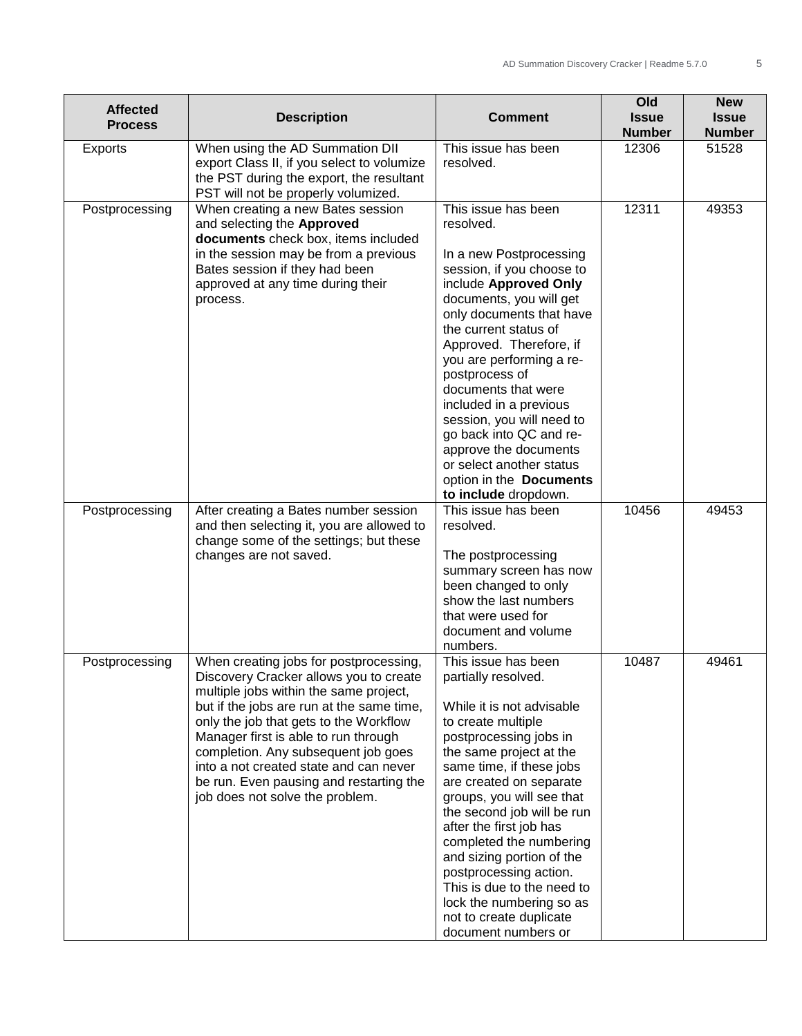| <b>Affected</b><br><b>Process</b> | <b>Description</b>                                                                                                                                                                                                                                                                                                                                                                                                       | <b>Comment</b>                                                                                                                                                                                                                                                                                                                                                                                                                                                                                | Old<br><b>Issue</b><br><b>Number</b> | <b>New</b><br><b>Issue</b><br><b>Number</b> |
|-----------------------------------|--------------------------------------------------------------------------------------------------------------------------------------------------------------------------------------------------------------------------------------------------------------------------------------------------------------------------------------------------------------------------------------------------------------------------|-----------------------------------------------------------------------------------------------------------------------------------------------------------------------------------------------------------------------------------------------------------------------------------------------------------------------------------------------------------------------------------------------------------------------------------------------------------------------------------------------|--------------------------------------|---------------------------------------------|
| <b>Exports</b>                    | When using the AD Summation DII<br>export Class II, if you select to volumize<br>the PST during the export, the resultant<br>PST will not be properly volumized.                                                                                                                                                                                                                                                         | This issue has been<br>resolved.                                                                                                                                                                                                                                                                                                                                                                                                                                                              | 12306                                | 51528                                       |
| Postprocessing                    | When creating a new Bates session<br>and selecting the Approved<br>documents check box, items included<br>in the session may be from a previous<br>Bates session if they had been<br>approved at any time during their<br>process.                                                                                                                                                                                       | This issue has been<br>resolved.<br>In a new Postprocessing<br>session, if you choose to<br>include Approved Only<br>documents, you will get<br>only documents that have<br>the current status of<br>Approved. Therefore, if<br>you are performing a re-<br>postprocess of<br>documents that were<br>included in a previous<br>session, you will need to<br>go back into QC and re-<br>approve the documents<br>or select another status<br>option in the Documents<br>to include dropdown.   | 12311                                | 49353                                       |
| Postprocessing                    | After creating a Bates number session<br>and then selecting it, you are allowed to<br>change some of the settings; but these<br>changes are not saved.                                                                                                                                                                                                                                                                   | This issue has been<br>resolved.<br>The postprocessing<br>summary screen has now<br>been changed to only<br>show the last numbers<br>that were used for<br>document and volume<br>numbers.                                                                                                                                                                                                                                                                                                    | 10456                                | 49453                                       |
| Postprocessing                    | When creating jobs for postprocessing,<br>Discovery Cracker allows you to create<br>multiple jobs within the same project,<br>but if the jobs are run at the same time,<br>only the job that gets to the Workflow<br>Manager first is able to run through<br>completion. Any subsequent job goes<br>into a not created state and can never<br>be run. Even pausing and restarting the<br>job does not solve the problem. | This issue has been<br>partially resolved.<br>While it is not advisable<br>to create multiple<br>postprocessing jobs in<br>the same project at the<br>same time, if these jobs<br>are created on separate<br>groups, you will see that<br>the second job will be run<br>after the first job has<br>completed the numbering<br>and sizing portion of the<br>postprocessing action.<br>This is due to the need to<br>lock the numbering so as<br>not to create duplicate<br>document numbers or | 10487                                | 49461                                       |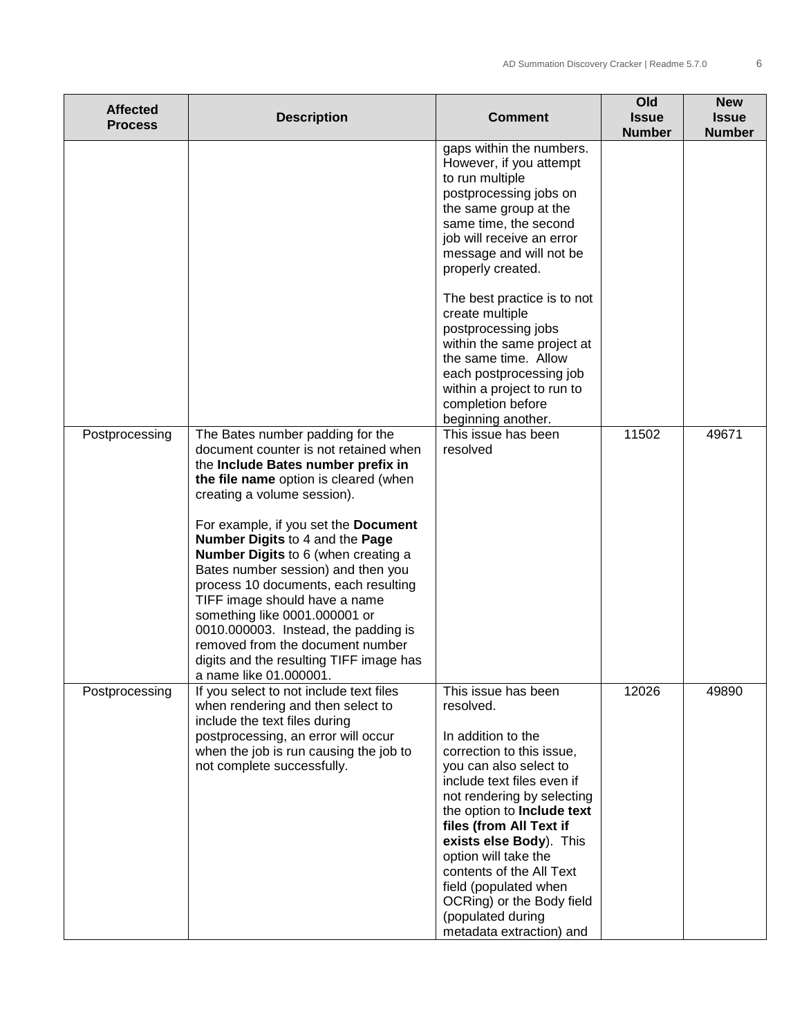| <b>Affected</b><br><b>Process</b> | <b>Description</b>                                                                                                                                                                                                                                                                                                                                                                                                                                                                                                                                                                                         | <b>Comment</b>                                                                                                                                                                                                                                                                                                                                                                                                                                                     | Old<br><b>Issue</b><br><b>Number</b> | <b>New</b><br><b>Issue</b><br><b>Number</b> |
|-----------------------------------|------------------------------------------------------------------------------------------------------------------------------------------------------------------------------------------------------------------------------------------------------------------------------------------------------------------------------------------------------------------------------------------------------------------------------------------------------------------------------------------------------------------------------------------------------------------------------------------------------------|--------------------------------------------------------------------------------------------------------------------------------------------------------------------------------------------------------------------------------------------------------------------------------------------------------------------------------------------------------------------------------------------------------------------------------------------------------------------|--------------------------------------|---------------------------------------------|
|                                   |                                                                                                                                                                                                                                                                                                                                                                                                                                                                                                                                                                                                            | gaps within the numbers.<br>However, if you attempt<br>to run multiple<br>postprocessing jobs on<br>the same group at the<br>same time, the second<br>job will receive an error<br>message and will not be<br>properly created.<br>The best practice is to not<br>create multiple<br>postprocessing jobs<br>within the same project at<br>the same time. Allow<br>each postprocessing job<br>within a project to run to<br>completion before<br>beginning another. |                                      |                                             |
| Postprocessing                    | The Bates number padding for the<br>document counter is not retained when<br>the Include Bates number prefix in<br>the file name option is cleared (when<br>creating a volume session).<br>For example, if you set the Document<br>Number Digits to 4 and the Page<br>Number Digits to 6 (when creating a<br>Bates number session) and then you<br>process 10 documents, each resulting<br>TIFF image should have a name<br>something like 0001.000001 or<br>0010.000003. Instead, the padding is<br>removed from the document number<br>digits and the resulting TIFF image has<br>a name like 01.000001. | This issue has been<br>resolved                                                                                                                                                                                                                                                                                                                                                                                                                                    | 11502                                | 49671                                       |
| Postprocessing                    | If you select to not include text files<br>when rendering and then select to<br>include the text files during<br>postprocessing, an error will occur<br>when the job is run causing the job to<br>not complete successfully.                                                                                                                                                                                                                                                                                                                                                                               | This issue has been<br>resolved.<br>In addition to the<br>correction to this issue,<br>you can also select to<br>include text files even if<br>not rendering by selecting<br>the option to Include text<br>files (from All Text if<br>exists else Body). This<br>option will take the<br>contents of the All Text<br>field (populated when<br>OCRing) or the Body field<br>(populated during<br>metadata extraction) and                                           | 12026                                | 49890                                       |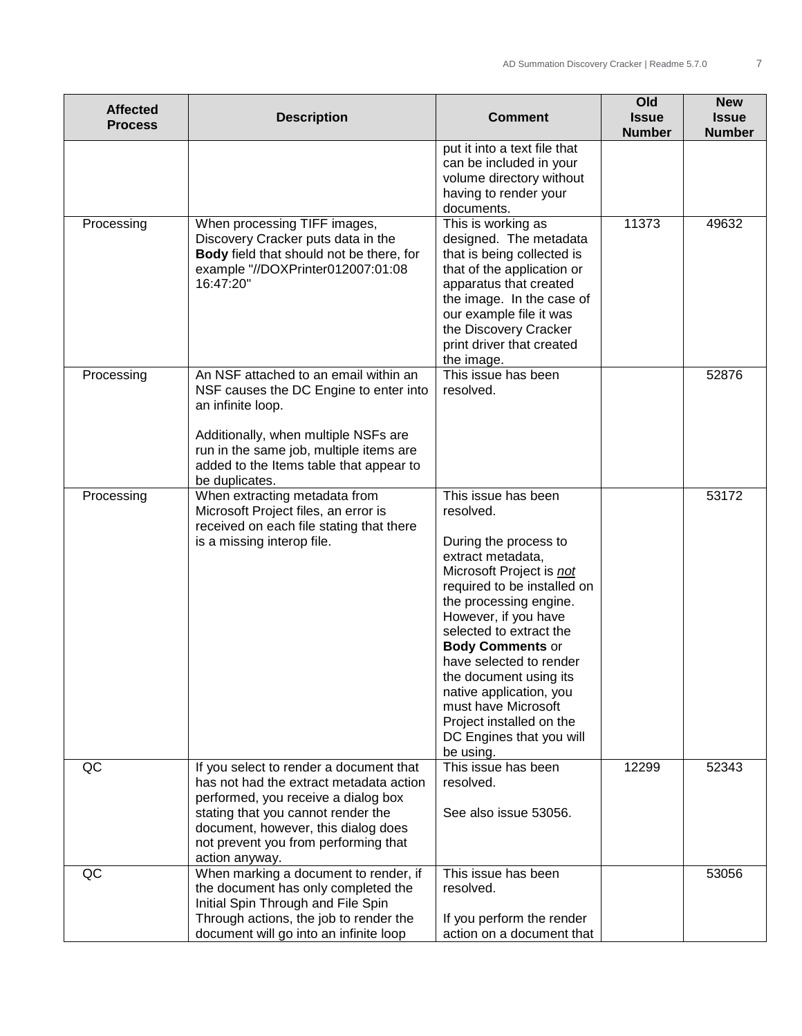| <b>Affected</b><br><b>Process</b> | <b>Description</b>                                                                                                                                                                                                                                               | <b>Comment</b>                                                                                                                                                                                                                                                                                                                                                                                                                | Old<br><b>Issue</b><br><b>Number</b> | <b>New</b><br><b>Issue</b><br><b>Number</b> |
|-----------------------------------|------------------------------------------------------------------------------------------------------------------------------------------------------------------------------------------------------------------------------------------------------------------|-------------------------------------------------------------------------------------------------------------------------------------------------------------------------------------------------------------------------------------------------------------------------------------------------------------------------------------------------------------------------------------------------------------------------------|--------------------------------------|---------------------------------------------|
|                                   |                                                                                                                                                                                                                                                                  | put it into a text file that<br>can be included in your<br>volume directory without<br>having to render your<br>documents.                                                                                                                                                                                                                                                                                                    |                                      |                                             |
| Processing                        | When processing TIFF images,<br>Discovery Cracker puts data in the<br>Body field that should not be there, for<br>example "//DOXPrinter012007:01:08<br>16:47:20"                                                                                                 | This is working as<br>designed. The metadata<br>that is being collected is<br>that of the application or<br>apparatus that created<br>the image. In the case of<br>our example file it was<br>the Discovery Cracker<br>print driver that created<br>the image.                                                                                                                                                                | 11373                                | 49632                                       |
| Processing                        | An NSF attached to an email within an<br>NSF causes the DC Engine to enter into<br>an infinite loop.<br>Additionally, when multiple NSFs are<br>run in the same job, multiple items are<br>added to the Items table that appear to<br>be duplicates.             | This issue has been<br>resolved.                                                                                                                                                                                                                                                                                                                                                                                              |                                      | 52876                                       |
| Processing                        | When extracting metadata from<br>Microsoft Project files, an error is<br>received on each file stating that there<br>is a missing interop file.                                                                                                                  | This issue has been<br>resolved.<br>During the process to<br>extract metadata,<br>Microsoft Project is not<br>required to be installed on<br>the processing engine.<br>However, if you have<br>selected to extract the<br><b>Body Comments or</b><br>have selected to render<br>the document using its<br>native application, you<br>must have Microsoft<br>Project installed on the<br>DC Engines that you will<br>be using. |                                      | 53172                                       |
| QC                                | If you select to render a document that<br>has not had the extract metadata action<br>performed, you receive a dialog box<br>stating that you cannot render the<br>document, however, this dialog does<br>not prevent you from performing that<br>action anyway. | This issue has been<br>resolved.<br>See also issue 53056.                                                                                                                                                                                                                                                                                                                                                                     | 12299                                | 52343                                       |
| QC                                | When marking a document to render, if<br>the document has only completed the<br>Initial Spin Through and File Spin<br>Through actions, the job to render the<br>document will go into an infinite loop                                                           | This issue has been<br>resolved.<br>If you perform the render<br>action on a document that                                                                                                                                                                                                                                                                                                                                    |                                      | 53056                                       |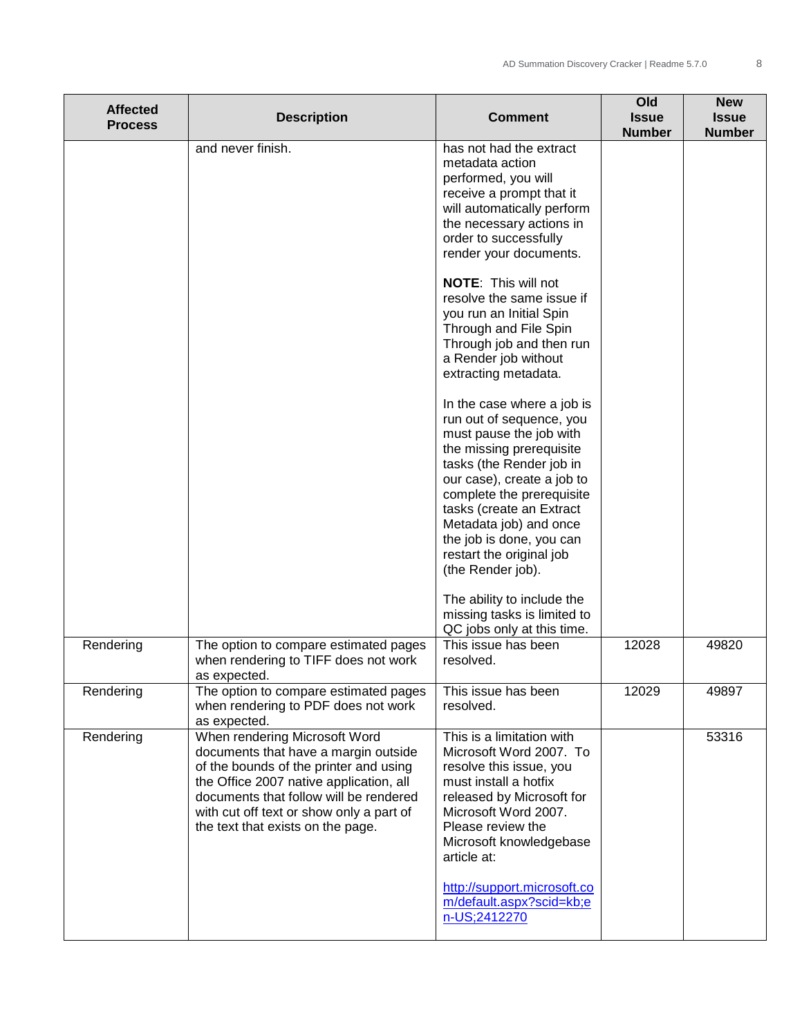| <b>Affected</b><br><b>Process</b> | <b>Description</b>                                                                                                                                                                                                                                                                    | <b>Comment</b>                                                                                                                                                                                                                                                                                          | Old<br><b>Issue</b><br><b>Number</b> | <b>New</b><br><b>Issue</b><br><b>Number</b> |
|-----------------------------------|---------------------------------------------------------------------------------------------------------------------------------------------------------------------------------------------------------------------------------------------------------------------------------------|---------------------------------------------------------------------------------------------------------------------------------------------------------------------------------------------------------------------------------------------------------------------------------------------------------|--------------------------------------|---------------------------------------------|
|                                   | and never finish.                                                                                                                                                                                                                                                                     | has not had the extract<br>metadata action<br>performed, you will<br>receive a prompt that it<br>will automatically perform<br>the necessary actions in<br>order to successfully<br>render your documents.                                                                                              |                                      |                                             |
|                                   |                                                                                                                                                                                                                                                                                       | NOTE: This will not<br>resolve the same issue if<br>you run an Initial Spin<br>Through and File Spin<br>Through job and then run<br>a Render job without<br>extracting metadata.                                                                                                                        |                                      |                                             |
|                                   |                                                                                                                                                                                                                                                                                       | In the case where a job is<br>run out of sequence, you<br>must pause the job with<br>the missing prerequisite<br>tasks (the Render job in<br>our case), create a job to<br>complete the prerequisite<br>tasks (create an Extract                                                                        |                                      |                                             |
|                                   |                                                                                                                                                                                                                                                                                       | Metadata job) and once<br>the job is done, you can<br>restart the original job<br>(the Render job).                                                                                                                                                                                                     |                                      |                                             |
|                                   |                                                                                                                                                                                                                                                                                       | The ability to include the<br>missing tasks is limited to<br>QC jobs only at this time.                                                                                                                                                                                                                 |                                      |                                             |
| Rendering                         | The option to compare estimated pages<br>when rendering to TIFF does not work<br>as expected.                                                                                                                                                                                         | This issue has been<br>resolved.                                                                                                                                                                                                                                                                        | 12028                                | 49820                                       |
| Rendering                         | The option to compare estimated pages<br>when rendering to PDF does not work<br>as expected.                                                                                                                                                                                          | This issue has been<br>resolved.                                                                                                                                                                                                                                                                        | 12029                                | 49897                                       |
| Rendering                         | When rendering Microsoft Word<br>documents that have a margin outside<br>of the bounds of the printer and using<br>the Office 2007 native application, all<br>documents that follow will be rendered<br>with cut off text or show only a part of<br>the text that exists on the page. | This is a limitation with<br>Microsoft Word 2007. To<br>resolve this issue, you<br>must install a hotfix<br>released by Microsoft for<br>Microsoft Word 2007.<br>Please review the<br>Microsoft knowledgebase<br>article at:<br>http://support.microsoft.co<br>m/default.aspx?scid=kb;e<br>n-US;2412270 |                                      | 53316                                       |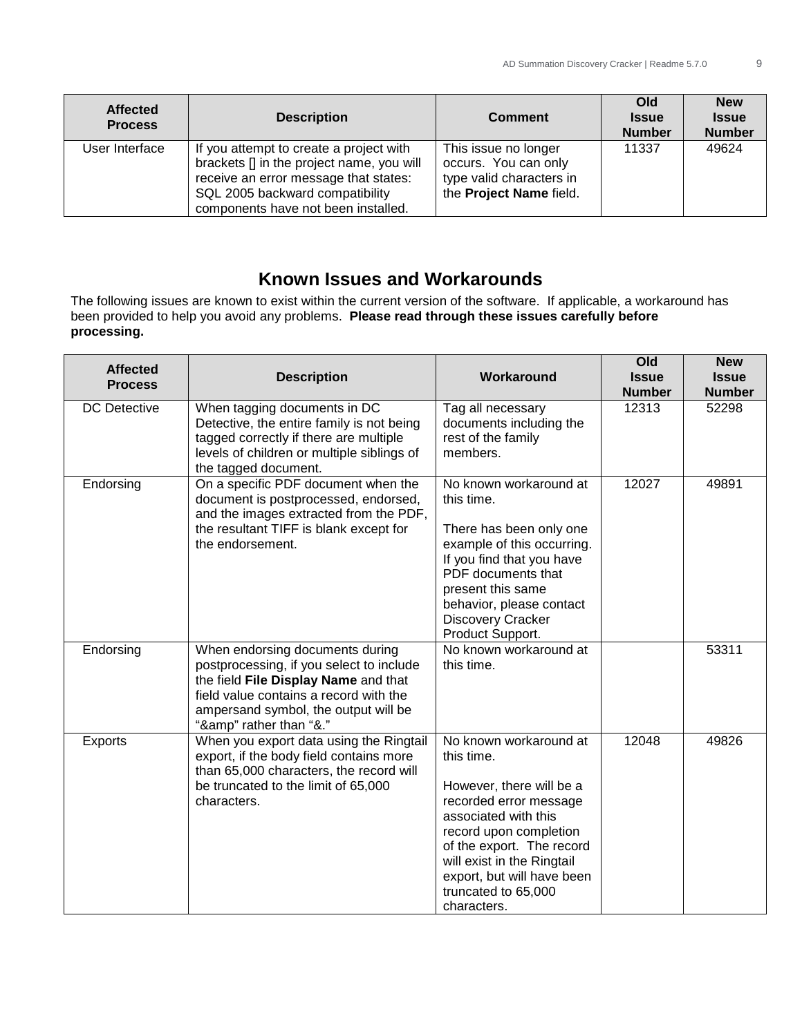| <b>Affected</b><br><b>Process</b> | <b>Description</b>                                                                                                                                                                                      | <b>Comment</b>                                                                                      | Old<br><b>Issue</b><br><b>Number</b> | <b>New</b><br><b>Issue</b><br><b>Number</b> |
|-----------------------------------|---------------------------------------------------------------------------------------------------------------------------------------------------------------------------------------------------------|-----------------------------------------------------------------------------------------------------|--------------------------------------|---------------------------------------------|
| User Interface                    | If you attempt to create a project with<br>brackets [] in the project name, you will<br>receive an error message that states:<br>SQL 2005 backward compatibility<br>components have not been installed. | This issue no longer<br>occurs. You can only<br>type valid characters in<br>the Project Name field. | 11337                                | 49624                                       |

# **Known Issues and Workarounds**

The following issues are known to exist within the current version of the software. If applicable, a workaround has been provided to help you avoid any problems. **Please read through these issues carefully before processing.**

| <b>Affected</b><br><b>Process</b> | <b>Description</b>                                                                                                                                                                                                            | Workaround                                                                                                                                                                                                                                                                  | Old<br><b>Issue</b><br><b>Number</b> | <b>New</b><br><b>Issue</b><br><b>Number</b> |
|-----------------------------------|-------------------------------------------------------------------------------------------------------------------------------------------------------------------------------------------------------------------------------|-----------------------------------------------------------------------------------------------------------------------------------------------------------------------------------------------------------------------------------------------------------------------------|--------------------------------------|---------------------------------------------|
| <b>DC</b> Detective               | When tagging documents in DC<br>Detective, the entire family is not being<br>tagged correctly if there are multiple<br>levels of children or multiple siblings of<br>the tagged document.                                     | Tag all necessary<br>documents including the<br>rest of the family<br>members.                                                                                                                                                                                              | 12313                                | 52298                                       |
| Endorsing                         | On a specific PDF document when the<br>document is postprocessed, endorsed,<br>and the images extracted from the PDF,<br>the resultant TIFF is blank except for<br>the endorsement.                                           | No known workaround at<br>this time.<br>There has been only one<br>example of this occurring.<br>If you find that you have<br>PDF documents that<br>present this same<br>behavior, please contact<br><b>Discovery Cracker</b><br>Product Support.                           | 12027                                | 49891                                       |
| Endorsing                         | When endorsing documents during<br>postprocessing, if you select to include<br>the field File Display Name and that<br>field value contains a record with the<br>ampersand symbol, the output will be<br>"&" rather than "&." | No known workaround at<br>this time.                                                                                                                                                                                                                                        |                                      | 53311                                       |
| Exports                           | When you export data using the Ringtail<br>export, if the body field contains more<br>than 65,000 characters, the record will<br>be truncated to the limit of 65,000<br>characters.                                           | No known workaround at<br>this time.<br>However, there will be a<br>recorded error message<br>associated with this<br>record upon completion<br>of the export. The record<br>will exist in the Ringtail<br>export, but will have been<br>truncated to 65,000<br>characters. | 12048                                | 49826                                       |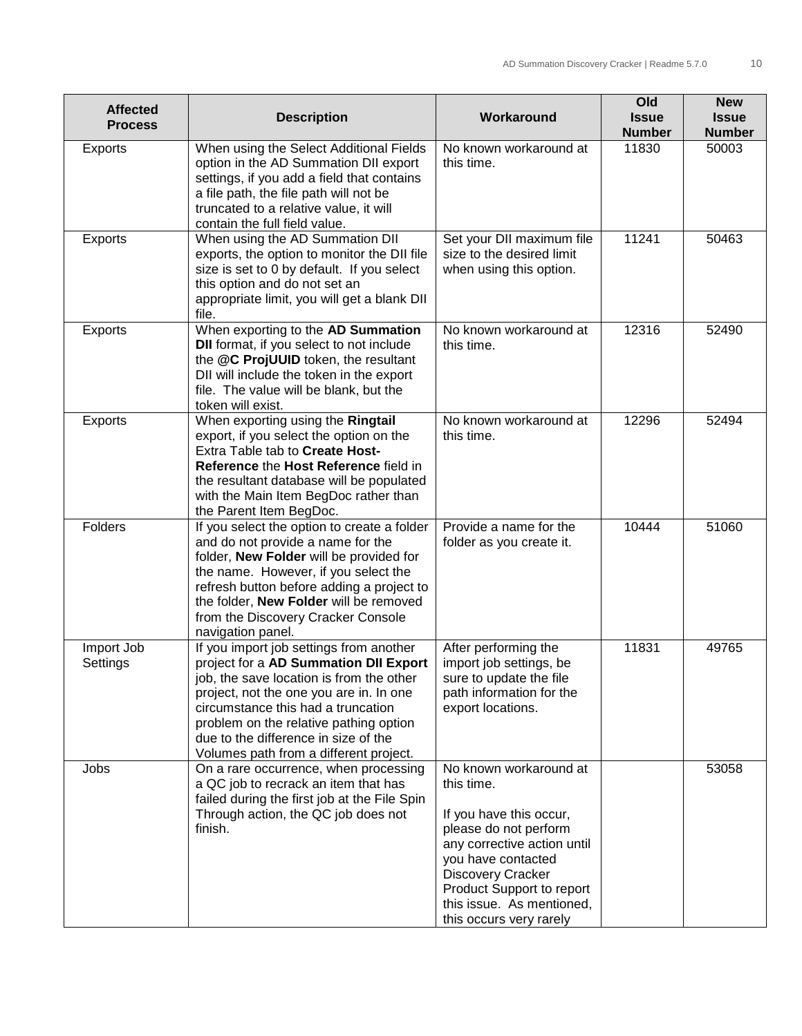| <b>Affected</b><br><b>Process</b> | <b>Description</b>                                                                                                                                                                                                                                                                                                                        | Workaround                                                                                                                                                                                                                                              | Old<br><b>Issue</b><br><b>Number</b> | <b>New</b><br><b>Issue</b><br><b>Number</b> |
|-----------------------------------|-------------------------------------------------------------------------------------------------------------------------------------------------------------------------------------------------------------------------------------------------------------------------------------------------------------------------------------------|---------------------------------------------------------------------------------------------------------------------------------------------------------------------------------------------------------------------------------------------------------|--------------------------------------|---------------------------------------------|
| Exports                           | When using the Select Additional Fields<br>option in the AD Summation DII export<br>settings, if you add a field that contains<br>a file path, the file path will not be<br>truncated to a relative value, it will<br>contain the full field value.                                                                                       | No known workaround at<br>this time.                                                                                                                                                                                                                    | 11830                                | 50003                                       |
| <b>Exports</b>                    | When using the AD Summation DII<br>exports, the option to monitor the DII file<br>size is set to 0 by default. If you select<br>this option and do not set an<br>appropriate limit, you will get a blank DII<br>file.                                                                                                                     | Set your DII maximum file<br>size to the desired limit<br>when using this option.                                                                                                                                                                       | 11241                                | 50463                                       |
| <b>Exports</b>                    | When exporting to the AD Summation<br><b>DII</b> format, if you select to not include<br>the @C ProjUUID token, the resultant<br>DII will include the token in the export<br>file. The value will be blank, but the<br>token will exist.                                                                                                  | No known workaround at<br>this time.                                                                                                                                                                                                                    | 12316                                | 52490                                       |
| Exports                           | When exporting using the Ringtail<br>export, if you select the option on the<br>Extra Table tab to Create Host-<br>Reference the Host Reference field in<br>the resultant database will be populated<br>with the Main Item BegDoc rather than<br>the Parent Item BegDoc.                                                                  | No known workaround at<br>this time.                                                                                                                                                                                                                    | 12296                                | 52494                                       |
| Folders                           | If you select the option to create a folder<br>and do not provide a name for the<br>folder, New Folder will be provided for<br>the name. However, if you select the<br>refresh button before adding a project to<br>the folder, New Folder will be removed<br>from the Discovery Cracker Console<br>navigation panel.                     | Provide a name for the<br>folder as you create it.                                                                                                                                                                                                      | 10444                                | 51060                                       |
| Import Job<br>Settings            | If you import job settings from another<br>project for a AD Summation DII Export<br>job, the save location is from the other<br>project, not the one you are in. In one<br>circumstance this had a truncation<br>problem on the relative pathing option<br>due to the difference in size of the<br>Volumes path from a different project. | After performing the<br>import job settings, be<br>sure to update the file<br>path information for the<br>export locations.                                                                                                                             | 11831                                | 49765                                       |
| Jobs                              | On a rare occurrence, when processing<br>a QC job to recrack an item that has<br>failed during the first job at the File Spin<br>Through action, the QC job does not<br>finish.                                                                                                                                                           | No known workaround at<br>this time.<br>If you have this occur,<br>please do not perform<br>any corrective action until<br>you have contacted<br>Discovery Cracker<br>Product Support to report<br>this issue. As mentioned,<br>this occurs very rarely |                                      | 53058                                       |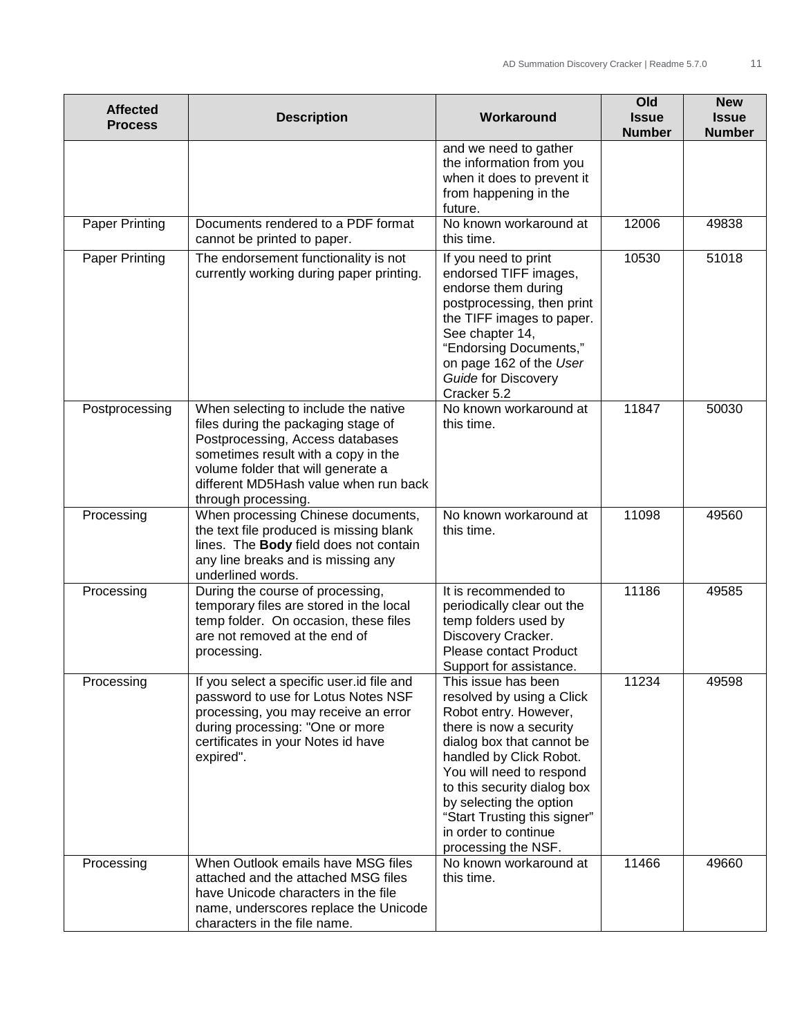| <b>Affected</b><br><b>Process</b> | <b>Description</b>                                                                                                                                                                                                                                           | Workaround                                                                                                                                                                                                                                                                                                                        | Old<br><b>Issue</b><br><b>Number</b> | <b>New</b><br><b>Issue</b><br><b>Number</b> |
|-----------------------------------|--------------------------------------------------------------------------------------------------------------------------------------------------------------------------------------------------------------------------------------------------------------|-----------------------------------------------------------------------------------------------------------------------------------------------------------------------------------------------------------------------------------------------------------------------------------------------------------------------------------|--------------------------------------|---------------------------------------------|
|                                   |                                                                                                                                                                                                                                                              | and we need to gather<br>the information from you<br>when it does to prevent it<br>from happening in the<br>future.                                                                                                                                                                                                               |                                      |                                             |
| <b>Paper Printing</b>             | Documents rendered to a PDF format<br>cannot be printed to paper.                                                                                                                                                                                            | No known workaround at<br>this time.                                                                                                                                                                                                                                                                                              | 12006                                | 49838                                       |
| Paper Printing                    | The endorsement functionality is not<br>currently working during paper printing.                                                                                                                                                                             | If you need to print<br>endorsed TIFF images,<br>endorse them during<br>postprocessing, then print<br>the TIFF images to paper.<br>See chapter 14,<br>"Endorsing Documents,"<br>on page 162 of the User<br>Guide for Discovery<br>Cracker 5.2                                                                                     | 10530                                | 51018                                       |
| Postprocessing                    | When selecting to include the native<br>files during the packaging stage of<br>Postprocessing, Access databases<br>sometimes result with a copy in the<br>volume folder that will generate a<br>different MD5Hash value when run back<br>through processing. | No known workaround at<br>this time.                                                                                                                                                                                                                                                                                              | 11847                                | 50030                                       |
| Processing                        | When processing Chinese documents,<br>the text file produced is missing blank<br>lines. The Body field does not contain<br>any line breaks and is missing any<br>underlined words.                                                                           | No known workaround at<br>this time.                                                                                                                                                                                                                                                                                              | 11098                                | 49560                                       |
| Processing                        | During the course of processing,<br>temporary files are stored in the local<br>temp folder. On occasion, these files<br>are not removed at the end of<br>processing.                                                                                         | It is recommended to<br>periodically clear out the<br>temp folders used by<br>Discovery Cracker.<br>Please contact Product<br>Support for assistance.                                                                                                                                                                             | 11186                                | 49585                                       |
| Processing                        | If you select a specific user.id file and<br>password to use for Lotus Notes NSF<br>processing, you may receive an error<br>during processing: "One or more<br>certificates in your Notes id have<br>expired".                                               | This issue has been<br>resolved by using a Click<br>Robot entry. However,<br>there is now a security<br>dialog box that cannot be<br>handled by Click Robot.<br>You will need to respond<br>to this security dialog box<br>by selecting the option<br>"Start Trusting this signer"<br>in order to continue<br>processing the NSF. | 11234                                | 49598                                       |
| Processing                        | When Outlook emails have MSG files<br>attached and the attached MSG files<br>have Unicode characters in the file<br>name, underscores replace the Unicode<br>characters in the file name.                                                                    | No known workaround at<br>this time.                                                                                                                                                                                                                                                                                              | 11466                                | 49660                                       |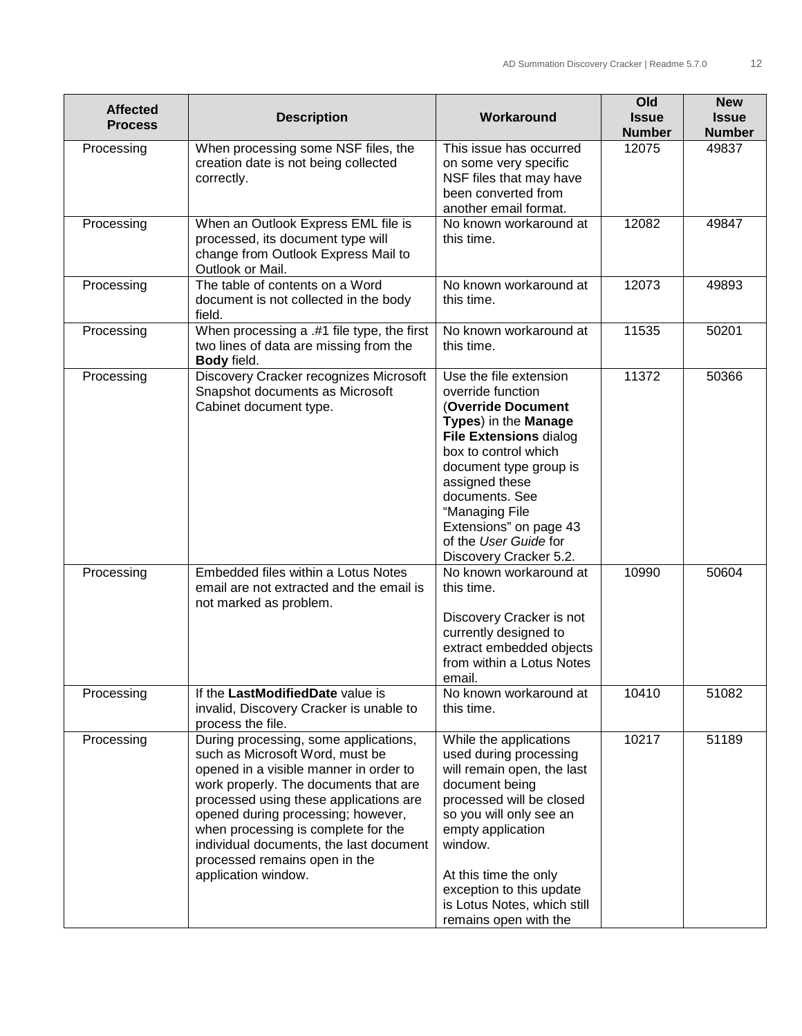| <b>Affected</b><br><b>Process</b> | <b>Description</b>                                                                                                                                                                                                                                                                                                                                                                    | Workaround                                                                                                                                                                                                                                                                                                      | Old<br><b>Issue</b><br><b>Number</b> | <b>New</b><br><b>Issue</b><br><b>Number</b> |
|-----------------------------------|---------------------------------------------------------------------------------------------------------------------------------------------------------------------------------------------------------------------------------------------------------------------------------------------------------------------------------------------------------------------------------------|-----------------------------------------------------------------------------------------------------------------------------------------------------------------------------------------------------------------------------------------------------------------------------------------------------------------|--------------------------------------|---------------------------------------------|
| Processing                        | When processing some NSF files, the<br>creation date is not being collected<br>correctly.                                                                                                                                                                                                                                                                                             | This issue has occurred<br>on some very specific<br>NSF files that may have<br>been converted from<br>another email format.                                                                                                                                                                                     | 12075                                | 49837                                       |
| Processing                        | When an Outlook Express EML file is<br>processed, its document type will<br>change from Outlook Express Mail to<br>Outlook or Mail.                                                                                                                                                                                                                                                   | No known workaround at<br>this time.                                                                                                                                                                                                                                                                            | 12082                                | 49847                                       |
| Processing                        | The table of contents on a Word<br>document is not collected in the body<br>field.                                                                                                                                                                                                                                                                                                    | No known workaround at<br>this time.                                                                                                                                                                                                                                                                            | 12073                                | 49893                                       |
| Processing                        | When processing a .#1 file type, the first<br>two lines of data are missing from the<br>Body field.                                                                                                                                                                                                                                                                                   | No known workaround at<br>this time.                                                                                                                                                                                                                                                                            | 11535                                | 50201                                       |
| Processing                        | Discovery Cracker recognizes Microsoft<br>Snapshot documents as Microsoft<br>Cabinet document type.                                                                                                                                                                                                                                                                                   | Use the file extension<br>override function<br>(Override Document<br>Types) in the Manage<br><b>File Extensions dialog</b><br>box to control which<br>document type group is<br>assigned these<br>documents. See<br>"Managing File<br>Extensions" on page 43<br>of the User Guide for<br>Discovery Cracker 5.2. | 11372                                | 50366                                       |
| Processing                        | Embedded files within a Lotus Notes<br>email are not extracted and the email is<br>not marked as problem.                                                                                                                                                                                                                                                                             | No known workaround at<br>this time.<br>Discovery Cracker is not<br>currently designed to<br>extract embedded objects<br>from within a Lotus Notes<br>email.                                                                                                                                                    | 10990                                | 50604                                       |
| Processing                        | If the LastModifiedDate value is<br>invalid, Discovery Cracker is unable to<br>process the file.                                                                                                                                                                                                                                                                                      | No known workaround at<br>this time.                                                                                                                                                                                                                                                                            | 10410                                | 51082                                       |
| Processing                        | During processing, some applications,<br>such as Microsoft Word, must be<br>opened in a visible manner in order to<br>work properly. The documents that are<br>processed using these applications are<br>opened during processing; however,<br>when processing is complete for the<br>individual documents, the last document<br>processed remains open in the<br>application window. | While the applications<br>used during processing<br>will remain open, the last<br>document being<br>processed will be closed<br>so you will only see an<br>empty application<br>window.<br>At this time the only<br>exception to this update<br>is Lotus Notes, which still<br>remains open with the            | 10217                                | 51189                                       |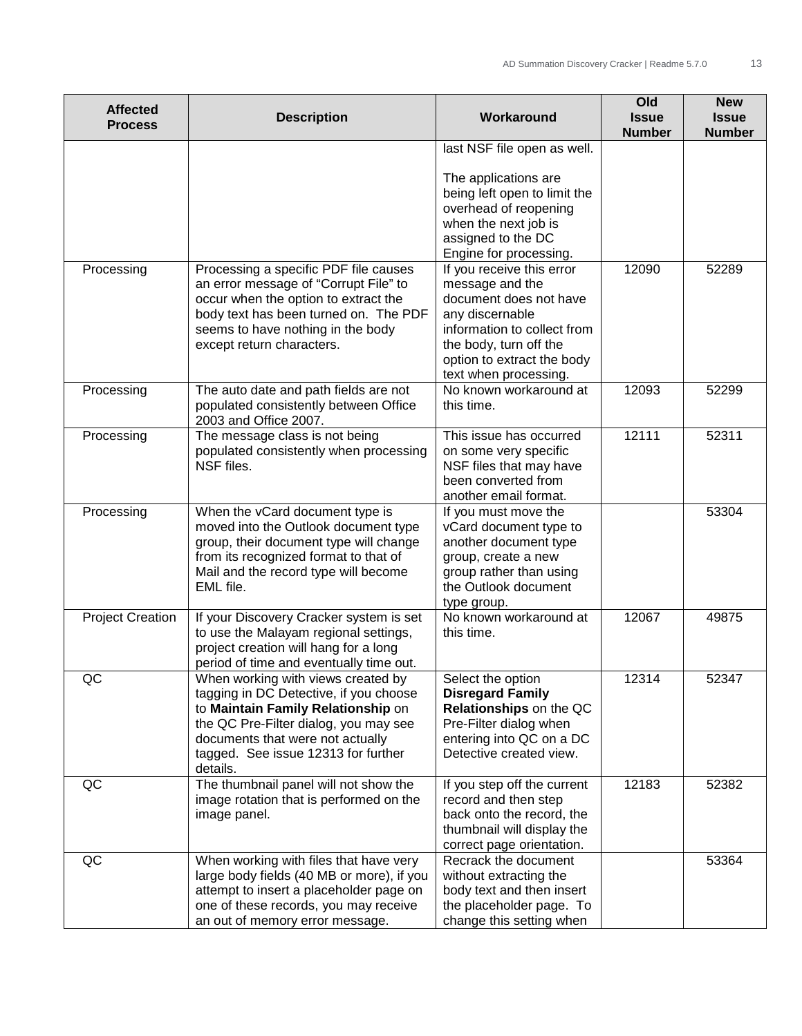| <b>Affected</b><br><b>Process</b> | <b>Description</b>                                                                                                                                                                                                                                 | Workaround                                                                                                                                                                                                | Old<br><b>Issue</b><br><b>Number</b> | <b>New</b><br><b>Issue</b><br><b>Number</b> |
|-----------------------------------|----------------------------------------------------------------------------------------------------------------------------------------------------------------------------------------------------------------------------------------------------|-----------------------------------------------------------------------------------------------------------------------------------------------------------------------------------------------------------|--------------------------------------|---------------------------------------------|
|                                   |                                                                                                                                                                                                                                                    | last NSF file open as well.<br>The applications are<br>being left open to limit the<br>overhead of reopening                                                                                              |                                      |                                             |
|                                   |                                                                                                                                                                                                                                                    | when the next job is<br>assigned to the DC<br>Engine for processing.                                                                                                                                      |                                      |                                             |
| Processing                        | Processing a specific PDF file causes<br>an error message of "Corrupt File" to<br>occur when the option to extract the<br>body text has been turned on. The PDF<br>seems to have nothing in the body<br>except return characters.                  | If you receive this error<br>message and the<br>document does not have<br>any discernable<br>information to collect from<br>the body, turn off the<br>option to extract the body<br>text when processing. | 12090                                | 52289                                       |
| Processing                        | The auto date and path fields are not<br>populated consistently between Office<br>2003 and Office 2007.                                                                                                                                            | No known workaround at<br>this time.                                                                                                                                                                      | 12093                                | 52299                                       |
| Processing                        | The message class is not being<br>populated consistently when processing<br>NSF files.                                                                                                                                                             | This issue has occurred<br>on some very specific<br>NSF files that may have<br>been converted from<br>another email format.                                                                               | 12111                                | 52311                                       |
| Processing                        | When the vCard document type is<br>moved into the Outlook document type<br>group, their document type will change<br>from its recognized format to that of<br>Mail and the record type will become<br>EML file.                                    | If you must move the<br>vCard document type to<br>another document type<br>group, create a new<br>group rather than using<br>the Outlook document<br>type group.                                          |                                      | 53304                                       |
| <b>Project Creation</b>           | If your Discovery Cracker system is set<br>to use the Malayam regional settings,<br>project creation will hang for a long<br>period of time and eventually time out.                                                                               | No known workaround at<br>this time.                                                                                                                                                                      | 12067                                | 49875                                       |
| QC                                | When working with views created by<br>tagging in DC Detective, if you choose<br>to Maintain Family Relationship on<br>the QC Pre-Filter dialog, you may see<br>documents that were not actually<br>tagged. See issue 12313 for further<br>details. | Select the option<br><b>Disregard Family</b><br>Relationships on the QC<br>Pre-Filter dialog when<br>entering into QC on a DC<br>Detective created view.                                                  | 12314                                | 52347                                       |
| QC                                | The thumbnail panel will not show the<br>image rotation that is performed on the<br>image panel.                                                                                                                                                   | If you step off the current<br>record and then step<br>back onto the record, the<br>thumbnail will display the<br>correct page orientation.                                                               | 12183                                | 52382                                       |
| QC                                | When working with files that have very<br>large body fields (40 MB or more), if you<br>attempt to insert a placeholder page on<br>one of these records, you may receive<br>an out of memory error message.                                         | Recrack the document<br>without extracting the<br>body text and then insert<br>the placeholder page. To<br>change this setting when                                                                       |                                      | 53364                                       |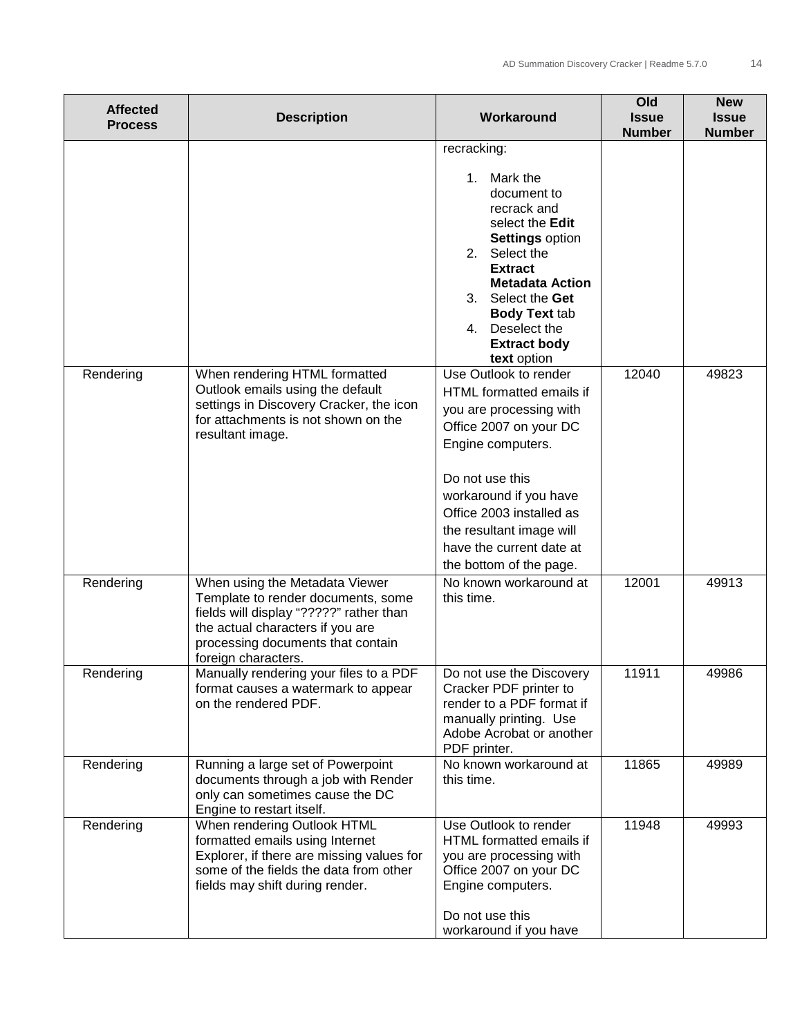| <b>Affected</b><br><b>Process</b> | <b>Description</b>                                                                                                                                                                                              | Workaround                                                                                                                                                                                                                                                                              | Old<br><b>Issue</b><br><b>Number</b> | <b>New</b><br><b>Issue</b><br><b>Number</b> |
|-----------------------------------|-----------------------------------------------------------------------------------------------------------------------------------------------------------------------------------------------------------------|-----------------------------------------------------------------------------------------------------------------------------------------------------------------------------------------------------------------------------------------------------------------------------------------|--------------------------------------|---------------------------------------------|
|                                   |                                                                                                                                                                                                                 | recracking:<br>Mark the<br>1.<br>document to<br>recrack and<br>select the Edit<br><b>Settings option</b><br>2.<br>Select the<br><b>Extract</b><br><b>Metadata Action</b><br>Select the Get<br>3.<br><b>Body Text tab</b><br>Deselect the<br>4.<br><b>Extract body</b><br>text option    |                                      |                                             |
| Rendering                         | When rendering HTML formatted<br>Outlook emails using the default<br>settings in Discovery Cracker, the icon<br>for attachments is not shown on the<br>resultant image.                                         | Use Outlook to render<br>HTML formatted emails if<br>you are processing with<br>Office 2007 on your DC<br>Engine computers.<br>Do not use this<br>workaround if you have<br>Office 2003 installed as<br>the resultant image will<br>have the current date at<br>the bottom of the page. | 12040                                | 49823                                       |
| Rendering                         | When using the Metadata Viewer<br>Template to render documents, some<br>fields will display "?????" rather than<br>the actual characters if you are<br>processing documents that contain<br>foreign characters. | No known workaround at<br>this time.                                                                                                                                                                                                                                                    | 12001                                | 49913                                       |
| Rendering                         | Manually rendering your files to a PDF<br>format causes a watermark to appear<br>on the rendered PDF.                                                                                                           | Do not use the Discovery<br>Cracker PDF printer to<br>render to a PDF format if<br>manually printing. Use<br>Adobe Acrobat or another<br>PDF printer.                                                                                                                                   | 11911                                | 49986                                       |
| Rendering                         | Running a large set of Powerpoint<br>documents through a job with Render<br>only can sometimes cause the DC<br>Engine to restart itself.                                                                        | No known workaround at<br>this time.                                                                                                                                                                                                                                                    | 11865                                | 49989                                       |
| Rendering                         | When rendering Outlook HTML<br>formatted emails using Internet<br>Explorer, if there are missing values for<br>some of the fields the data from other<br>fields may shift during render.                        | Use Outlook to render<br>HTML formatted emails if<br>you are processing with<br>Office 2007 on your DC<br>Engine computers.<br>Do not use this<br>workaround if you have                                                                                                                | 11948                                | 49993                                       |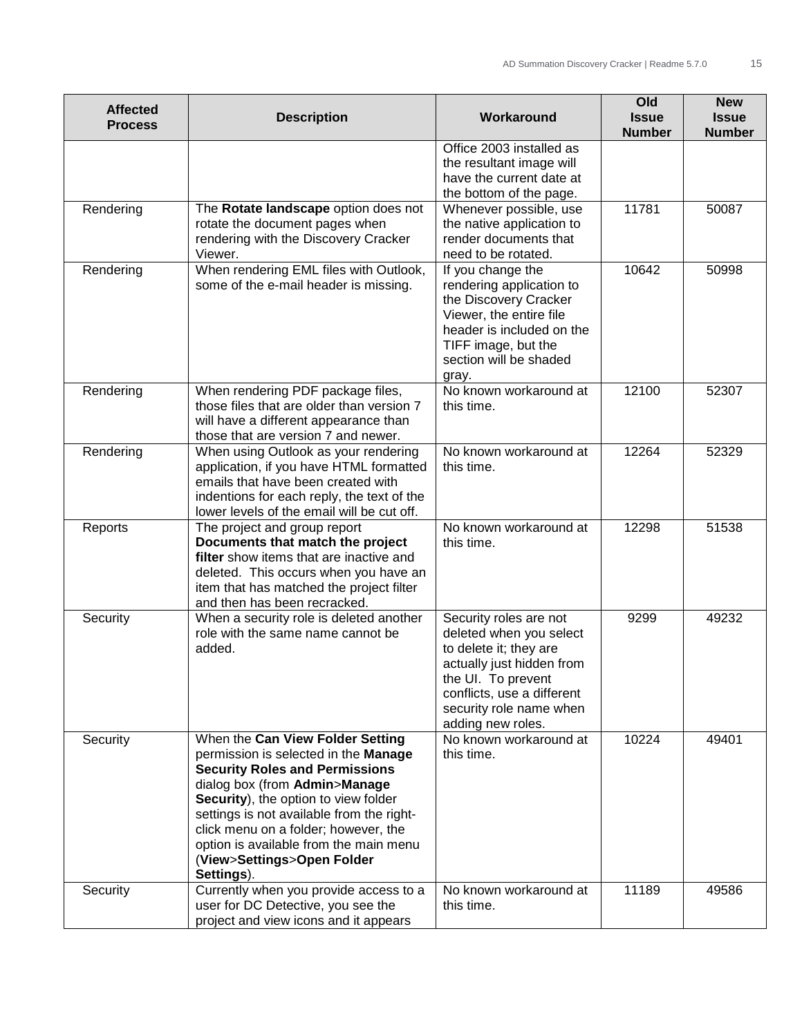| <b>Affected</b><br><b>Process</b> | <b>Description</b>                                                                                                                                                                                                                                                                                                                                                    | Workaround                                                                                                                                                                                                   | Old<br><b>Issue</b><br><b>Number</b> | <b>New</b><br><b>Issue</b><br><b>Number</b> |
|-----------------------------------|-----------------------------------------------------------------------------------------------------------------------------------------------------------------------------------------------------------------------------------------------------------------------------------------------------------------------------------------------------------------------|--------------------------------------------------------------------------------------------------------------------------------------------------------------------------------------------------------------|--------------------------------------|---------------------------------------------|
|                                   |                                                                                                                                                                                                                                                                                                                                                                       | Office 2003 installed as<br>the resultant image will<br>have the current date at<br>the bottom of the page.                                                                                                  |                                      |                                             |
| Rendering                         | The Rotate landscape option does not<br>rotate the document pages when<br>rendering with the Discovery Cracker<br>Viewer.                                                                                                                                                                                                                                             | Whenever possible, use<br>the native application to<br>render documents that<br>need to be rotated.                                                                                                          | 11781                                | 50087                                       |
| Rendering                         | When rendering EML files with Outlook,<br>some of the e-mail header is missing.                                                                                                                                                                                                                                                                                       | If you change the<br>rendering application to<br>the Discovery Cracker<br>Viewer, the entire file<br>header is included on the<br>TIFF image, but the<br>section will be shaded<br>gray.                     | 10642                                | 50998                                       |
| Rendering                         | When rendering PDF package files,<br>those files that are older than version 7<br>will have a different appearance than<br>those that are version 7 and newer.                                                                                                                                                                                                        | No known workaround at<br>this time.                                                                                                                                                                         | 12100                                | 52307                                       |
| Rendering                         | When using Outlook as your rendering<br>application, if you have HTML formatted<br>emails that have been created with<br>indentions for each reply, the text of the<br>lower levels of the email will be cut off.                                                                                                                                                     | No known workaround at<br>this time.                                                                                                                                                                         | 12264                                | 52329                                       |
| Reports                           | The project and group report<br>Documents that match the project<br>filter show items that are inactive and<br>deleted. This occurs when you have an<br>item that has matched the project filter<br>and then has been recracked.                                                                                                                                      | No known workaround at<br>this time.                                                                                                                                                                         | 12298                                | 51538                                       |
| Security                          | When a security role is deleted another<br>role with the same name cannot be<br>added.                                                                                                                                                                                                                                                                                | Security roles are not<br>deleted when you select<br>to delete it; they are<br>actually just hidden from<br>the UI. To prevent<br>conflicts, use a different<br>security role name when<br>adding new roles. | 9299                                 | 49232                                       |
| Security                          | When the Can View Folder Setting<br>permission is selected in the Manage<br><b>Security Roles and Permissions</b><br>dialog box (from Admin>Manage<br>Security), the option to view folder<br>settings is not available from the right-<br>click menu on a folder; however, the<br>option is available from the main menu<br>(View>Settings>Open Folder<br>Settings). | No known workaround at<br>this time.                                                                                                                                                                         | 10224                                | 49401                                       |
| Security                          | Currently when you provide access to a<br>user for DC Detective, you see the<br>project and view icons and it appears                                                                                                                                                                                                                                                 | No known workaround at<br>this time.                                                                                                                                                                         | 11189                                | 49586                                       |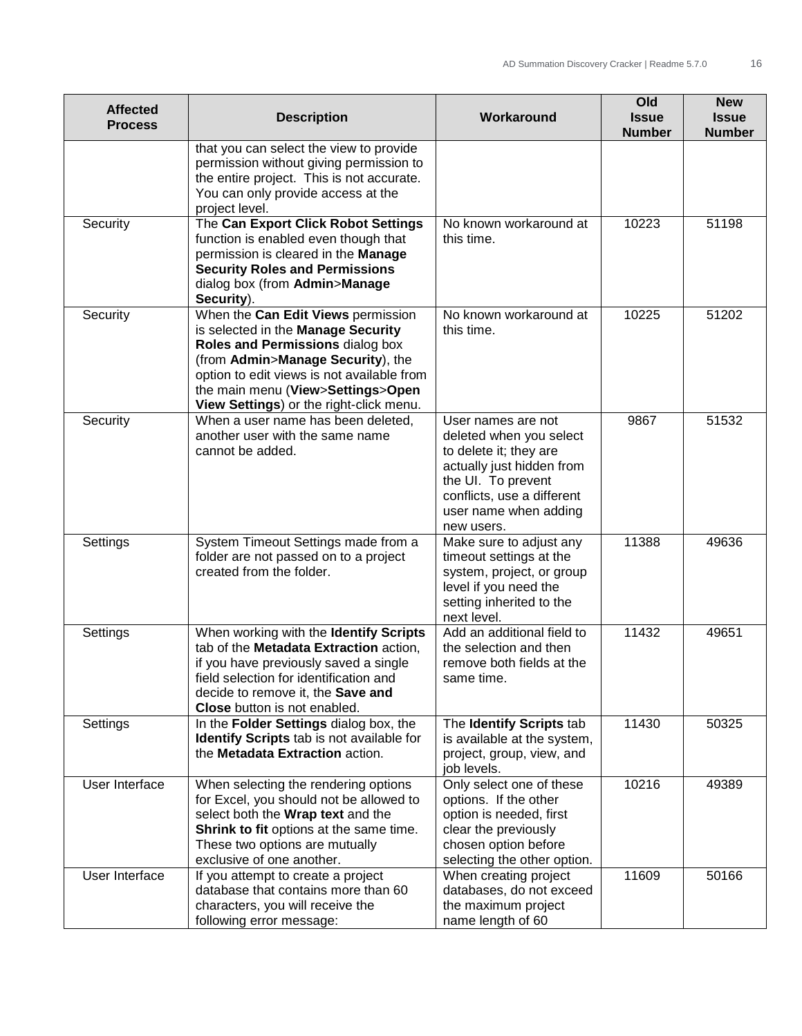| <b>Affected</b><br><b>Process</b> | <b>Description</b>                                                                                                                                                                                                                                                              | Workaround                                                                                                                                                                                      | Old<br><b>Issue</b><br><b>Number</b> | <b>New</b><br><b>Issue</b><br><b>Number</b> |
|-----------------------------------|---------------------------------------------------------------------------------------------------------------------------------------------------------------------------------------------------------------------------------------------------------------------------------|-------------------------------------------------------------------------------------------------------------------------------------------------------------------------------------------------|--------------------------------------|---------------------------------------------|
|                                   | that you can select the view to provide<br>permission without giving permission to<br>the entire project. This is not accurate.<br>You can only provide access at the<br>project level.                                                                                         |                                                                                                                                                                                                 |                                      |                                             |
| Security                          | The Can Export Click Robot Settings<br>function is enabled even though that<br>permission is cleared in the Manage<br><b>Security Roles and Permissions</b><br>dialog box (from Admin>Manage<br>Security).                                                                      | No known workaround at<br>this time.                                                                                                                                                            | 10223                                | 51198                                       |
| Security                          | When the Can Edit Views permission<br>is selected in the Manage Security<br>Roles and Permissions dialog box<br>(from Admin>Manage Security), the<br>option to edit views is not available from<br>the main menu (View>Settings>Open<br>View Settings) or the right-click menu. | No known workaround at<br>this time.                                                                                                                                                            | 10225                                | 51202                                       |
| Security                          | When a user name has been deleted,<br>another user with the same name<br>cannot be added.                                                                                                                                                                                       | User names are not<br>deleted when you select<br>to delete it; they are<br>actually just hidden from<br>the UI. To prevent<br>conflicts, use a different<br>user name when adding<br>new users. | 9867                                 | 51532                                       |
| Settings                          | System Timeout Settings made from a<br>folder are not passed on to a project<br>created from the folder.                                                                                                                                                                        | Make sure to adjust any<br>timeout settings at the<br>system, project, or group<br>level if you need the<br>setting inherited to the<br>next level.                                             | 11388                                | 49636                                       |
| Settings                          | When working with the Identify Scripts<br>tab of the Metadata Extraction action,<br>if you have previously saved a single<br>field selection for identification and<br>decide to remove it, the Save and<br>Close button is not enabled.                                        | Add an additional field to<br>the selection and then<br>remove both fields at the<br>same time.                                                                                                 | 11432                                | 49651                                       |
| Settings                          | In the Folder Settings dialog box, the<br>Identify Scripts tab is not available for<br>the Metadata Extraction action.                                                                                                                                                          | The Identify Scripts tab<br>is available at the system,<br>project, group, view, and<br>job levels.                                                                                             | 11430                                | 50325                                       |
| User Interface                    | When selecting the rendering options<br>for Excel, you should not be allowed to<br>select both the Wrap text and the<br>Shrink to fit options at the same time.<br>These two options are mutually<br>exclusive of one another.                                                  | Only select one of these<br>options. If the other<br>option is needed, first<br>clear the previously<br>chosen option before<br>selecting the other option.                                     | 10216                                | 49389                                       |
| User Interface                    | If you attempt to create a project<br>database that contains more than 60<br>characters, you will receive the<br>following error message:                                                                                                                                       | When creating project<br>databases, do not exceed<br>the maximum project<br>name length of 60                                                                                                   | 11609                                | 50166                                       |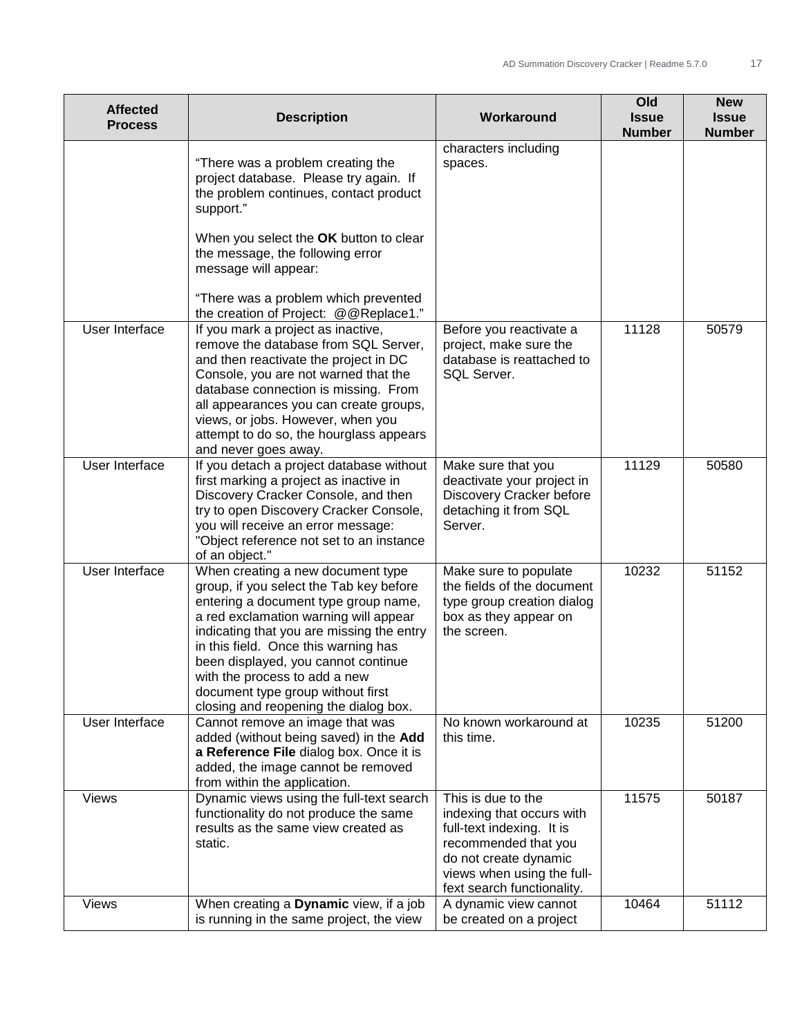| <b>Affected</b><br><b>Process</b> | <b>Description</b>                                                                                                                                                                                                                                                                                                                                                                                       | Workaround                                                                                                                                                                                | Old<br><b>Issue</b><br><b>Number</b> | <b>New</b><br><b>Issue</b><br><b>Number</b> |
|-----------------------------------|----------------------------------------------------------------------------------------------------------------------------------------------------------------------------------------------------------------------------------------------------------------------------------------------------------------------------------------------------------------------------------------------------------|-------------------------------------------------------------------------------------------------------------------------------------------------------------------------------------------|--------------------------------------|---------------------------------------------|
|                                   | "There was a problem creating the<br>project database. Please try again. If<br>the problem continues, contact product<br>support."                                                                                                                                                                                                                                                                       | characters including<br>spaces.                                                                                                                                                           |                                      |                                             |
|                                   | When you select the OK button to clear<br>the message, the following error<br>message will appear:                                                                                                                                                                                                                                                                                                       |                                                                                                                                                                                           |                                      |                                             |
|                                   | "There was a problem which prevented<br>the creation of Project: @@Replace1."                                                                                                                                                                                                                                                                                                                            |                                                                                                                                                                                           |                                      |                                             |
| User Interface                    | If you mark a project as inactive,<br>remove the database from SQL Server,<br>and then reactivate the project in DC<br>Console, you are not warned that the<br>database connection is missing. From<br>all appearances you can create groups,<br>views, or jobs. However, when you<br>attempt to do so, the hourglass appears<br>and never goes away.                                                    | Before you reactivate a<br>project, make sure the<br>database is reattached to<br>SQL Server.                                                                                             | 11128                                | 50579                                       |
| User Interface                    | If you detach a project database without<br>first marking a project as inactive in<br>Discovery Cracker Console, and then<br>try to open Discovery Cracker Console,<br>you will receive an error message:<br>"Object reference not set to an instance<br>of an object."                                                                                                                                  | Make sure that you<br>deactivate your project in<br>Discovery Cracker before<br>detaching it from SQL<br>Server.                                                                          | 11129                                | 50580                                       |
| User Interface                    | When creating a new document type<br>group, if you select the Tab key before<br>entering a document type group name,<br>a red exclamation warning will appear<br>indicating that you are missing the entry<br>in this field. Once this warning has<br>been displayed, you cannot continue<br>with the process to add a new<br>document type group without first<br>closing and reopening the dialog box. | Make sure to populate<br>the fields of the document<br>type group creation dialog<br>box as they appear on<br>the screen.                                                                 | 10232                                | 51152                                       |
| User Interface                    | Cannot remove an image that was<br>added (without being saved) in the Add<br>a Reference File dialog box. Once it is<br>added, the image cannot be removed<br>from within the application.                                                                                                                                                                                                               | No known workaround at<br>this time.                                                                                                                                                      | 10235                                | 51200                                       |
| <b>Views</b>                      | Dynamic views using the full-text search<br>functionality do not produce the same<br>results as the same view created as<br>static.                                                                                                                                                                                                                                                                      | This is due to the<br>indexing that occurs with<br>full-text indexing. It is<br>recommended that you<br>do not create dynamic<br>views when using the full-<br>fext search functionality. | 11575                                | 50187                                       |
| Views                             | When creating a Dynamic view, if a job<br>is running in the same project, the view                                                                                                                                                                                                                                                                                                                       | A dynamic view cannot<br>be created on a project                                                                                                                                          | 10464                                | 51112                                       |